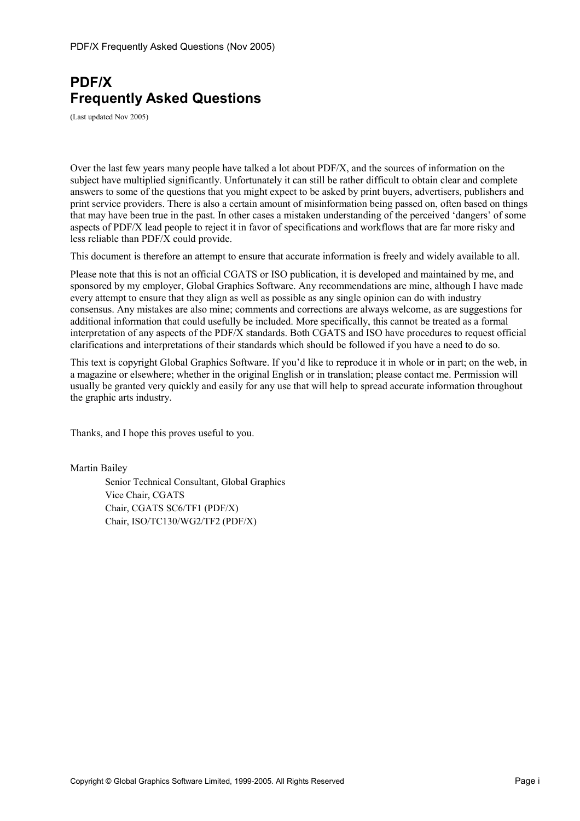# **PDF/X Frequently Asked Questions**

(Last updated Nov 2005)

Over the last few years many people have talked a lot about PDF/X, and the sources of information on the subject have multiplied significantly. Unfortunately it can still be rather difficult to obtain clear and complete answers to some of the questions that you might expect to be asked by print buyers, advertisers, publishers and print service providers. There is also a certain amount of misinformation being passed on, often based on things that may have been true in the past. In other cases a mistaken understanding of the perceived 'dangers' of some aspects of PDF/X lead people to reject it in favor of specifications and workflows that are far more risky and less reliable than PDF/X could provide.

This document is therefore an attempt to ensure that accurate information is freely and widely available to all.

Please note that this is not an official CGATS or ISO publication, it is developed and maintained by me, and sponsored by my employer, Global Graphics Software. Any recommendations are mine, although I have made every attempt to ensure that they align as well as possible as any single opinion can do with industry consensus. Any mistakes are also mine; comments and corrections are always welcome, as are suggestions for additional information that could usefully be included. More specifically, this cannot be treated as a formal interpretation of any aspects of the PDF/X standards. Both CGATS and ISO have procedures to request official clarifications and interpretations of their standards which should be followed if you have a need to do so.

This text is copyright Global Graphics Software. If you'd like to reproduce it in whole or in part; on the web, in a magazine or elsewhere; whether in the original English or in translation; please contact me. Permission will usually be granted very quickly and easily for any use that will help to spread accurate information throughout the graphic arts industry.

Thanks, and I hope this proves useful to you.

Martin Bailey

Senior Technical Consultant, Global Graphics Vice Chair, CGATS Chair, CGATS SC6/TF1 (PDF/X) Chair, ISO/TC130/WG2/TF2 (PDF/X)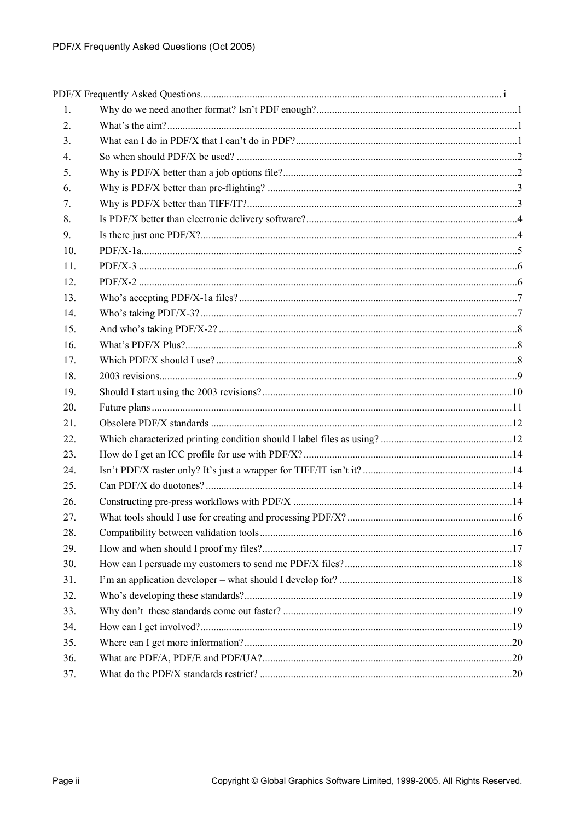| 1.  |  |
|-----|--|
| 2.  |  |
| 3.  |  |
| 4.  |  |
| 5.  |  |
| 6.  |  |
| 7.  |  |
| 8.  |  |
| 9.  |  |
| 10. |  |
| 11. |  |
| 12. |  |
| 13. |  |
| 14. |  |
| 15. |  |
| 16. |  |
| 17. |  |
| 18. |  |
| 19. |  |
| 20. |  |
| 21. |  |
| 22. |  |
| 23. |  |
| 24. |  |
| 25. |  |
| 26. |  |
| 27. |  |
| 28. |  |
| 29. |  |
| 30. |  |
| 31. |  |
| 32. |  |
| 33. |  |
| 34. |  |
| 35. |  |
| 36. |  |
| 37. |  |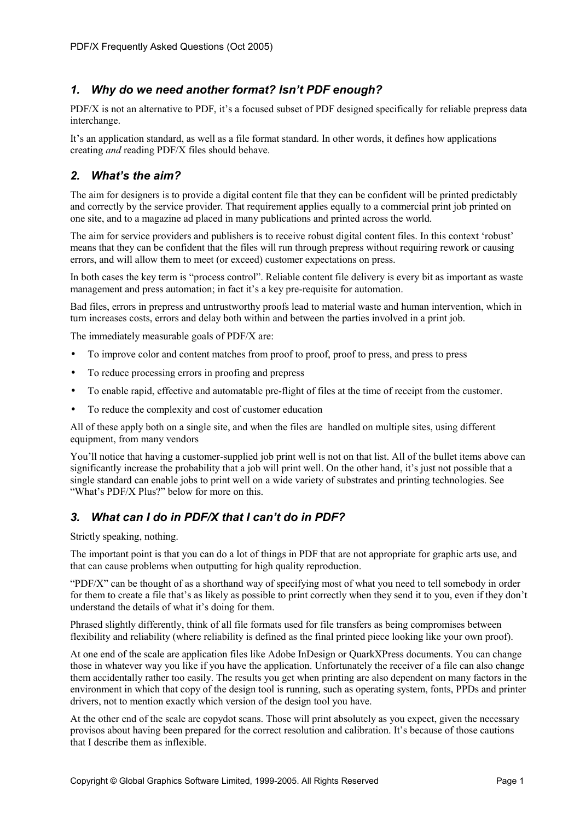## *1. Why do we need another format? Isn't PDF enough?*

PDF/X is not an alternative to PDF, it's a focused subset of PDF designed specifically for reliable prepress data interchange.

It's an application standard, as well as a file format standard. In other words, it defines how applications creating *and* reading PDF/X files should behave.

### *2. What's the aim?*

The aim for designers is to provide a digital content file that they can be confident will be printed predictably and correctly by the service provider. That requirement applies equally to a commercial print job printed on one site, and to a magazine ad placed in many publications and printed across the world.

The aim for service providers and publishers is to receive robust digital content files. In this context 'robust' means that they can be confident that the files will run through prepress without requiring rework or causing errors, and will allow them to meet (or exceed) customer expectations on press.

In both cases the key term is "process control". Reliable content file delivery is every bit as important as waste management and press automation; in fact it's a key pre-requisite for automation.

Bad files, errors in prepress and untrustworthy proofs lead to material waste and human intervention, which in turn increases costs, errors and delay both within and between the parties involved in a print job.

The immediately measurable goals of PDF/X are:

- To improve color and content matches from proof to proof, proof to press, and press to press
- To reduce processing errors in proofing and prepress
- To enable rapid, effective and automatable pre-flight of files at the time of receipt from the customer.
- To reduce the complexity and cost of customer education

All of these apply both on a single site, and when the files are handled on multiple sites, using different equipment, from many vendors

You'll notice that having a customer-supplied job print well is not on that list. All of the bullet items above can significantly increase the probability that a job will print well. On the other hand, it's just not possible that a single standard can enable jobs to print well on a wide variety of substrates and printing technologies. See "What's PDF/X Plus?" below for more on this.

# *3. What can I do in PDF/X that I can't do in PDF?*

Strictly speaking, nothing.

The important point is that you can do a lot of things in PDF that are not appropriate for graphic arts use, and that can cause problems when outputting for high quality reproduction.

"PDF/X" can be thought of as a shorthand way of specifying most of what you need to tell somebody in order for them to create a file that's as likely as possible to print correctly when they send it to you, even if they don't understand the details of what it's doing for them.

Phrased slightly differently, think of all file formats used for file transfers as being compromises between flexibility and reliability (where reliability is defined as the final printed piece looking like your own proof).

At one end of the scale are application files like Adobe InDesign or QuarkXPress documents. You can change those in whatever way you like if you have the application. Unfortunately the receiver of a file can also change them accidentally rather too easily. The results you get when printing are also dependent on many factors in the environment in which that copy of the design tool is running, such as operating system, fonts, PPDs and printer drivers, not to mention exactly which version of the design tool you have.

At the other end of the scale are copydot scans. Those will print absolutely as you expect, given the necessary provisos about having been prepared for the correct resolution and calibration. It's because of those cautions that I describe them as inflexible.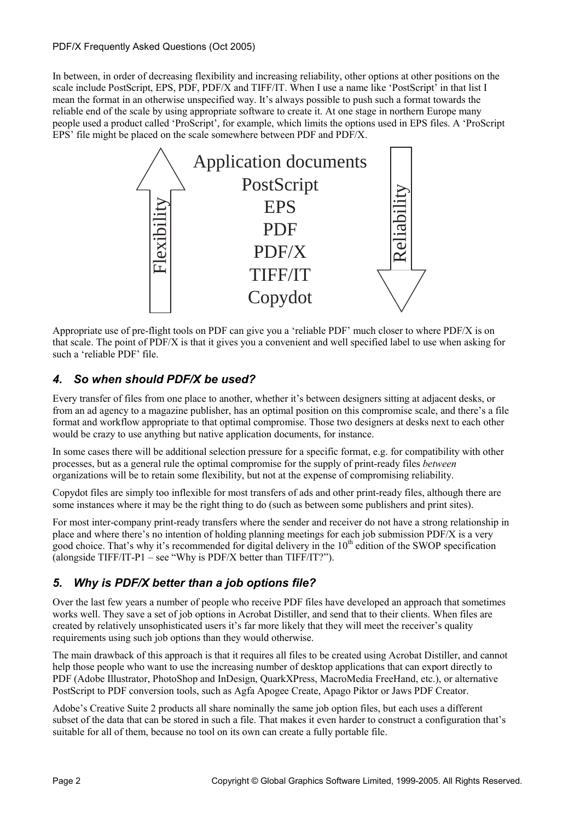In between, in order of decreasing flexibility and increasing reliability, other options at other positions on the scale include PostScript, EPS, PDF, PDF/X and TIFF/IT. When I use a name like 'PostScript' in that list I mean the format in an otherwise unspecified way. It's always possible to push such a format towards the reliable end of the scale by using appropriate software to create it. At one stage in northern Europe many people used a product called 'ProScript', for example, which limits the options used in EPS files. A 'ProScript EPS' file might be placed on the scale somewhere between PDF and PDF/X.



Appropriate use of pre-flight tools on PDF can give you a 'reliable PDF' much closer to where PDF/X is on that scale. The point of PDF/X is that it gives you a convenient and well specified label to use when asking for such a 'reliable PDF' file.

# *4. So when should PDF/X be used?*

Every transfer of files from one place to another, whether it's between designers sitting at adjacent desks, or from an ad agency to a magazine publisher, has an optimal position on this compromise scale, and there's a file format and workflow appropriate to that optimal compromise. Those two designers at desks next to each other would be crazy to use anything but native application documents, for instance.

In some cases there will be additional selection pressure for a specific format, e.g. for compatibility with other processes, but as a general rule the optimal compromise for the supply of print-ready files *between* organizations will be to retain some flexibility, but not at the expense of compromising reliability.

Copydot files are simply too inflexible for most transfers of ads and other print-ready files, although there are some instances where it may be the right thing to do (such as between some publishers and print sites).

For most inter-company print-ready transfers where the sender and receiver do not have a strong relationship in place and where there's no intention of holding planning meetings for each job submission PDF/X is a very good choice. That's why it's recommended for digital delivery in the  $10<sup>th</sup>$  edition of the SWOP specification (alongside TIFF/IT-P1 – see "Why is PDF/X better than TIFF/IT?").

# *5. Why is PDF/X better than a job options file?*

Over the last few years a number of people who receive PDF files have developed an approach that sometimes works well. They save a set of job options in Acrobat Distiller, and send that to their clients. When files are created by relatively unsophisticated users it's far more likely that they will meet the receiver's quality requirements using such job options than they would otherwise.

The main drawback of this approach is that it requires all files to be created using Acrobat Distiller, and cannot help those people who want to use the increasing number of desktop applications that can export directly to PDF (Adobe Illustrator, PhotoShop and InDesign, QuarkXPress, MacroMedia FreeHand, etc.), or alternative PostScript to PDF conversion tools, such as Agfa Apogee Create, Apago Piktor or Jaws PDF Creator.

Adobe's Creative Suite 2 products all share nominally the same job option files, but each uses a different subset of the data that can be stored in such a file. That makes it even harder to construct a configuration that's suitable for all of them, because no tool on its own can create a fully portable file.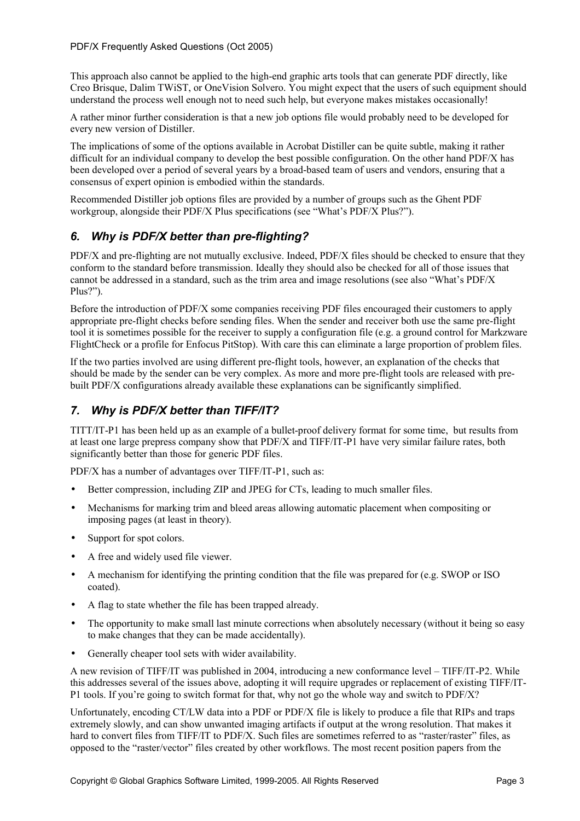This approach also cannot be applied to the high-end graphic arts tools that can generate PDF directly, like Creo Brisque, Dalim TWiST, or OneVision Solvero. You might expect that the users of such equipment should understand the process well enough not to need such help, but everyone makes mistakes occasionally!

A rather minor further consideration is that a new job options file would probably need to be developed for every new version of Distiller.

The implications of some of the options available in Acrobat Distiller can be quite subtle, making it rather difficult for an individual company to develop the best possible configuration. On the other hand PDF/X has been developed over a period of several years by a broad-based team of users and vendors, ensuring that a consensus of expert opinion is embodied within the standards.

Recommended Distiller job options files are provided by a number of groups such as the Ghent PDF workgroup, alongside their PDF/X Plus specifications (see "What's PDF/X Plus?").

## *6. Why is PDF/X better than pre-flighting?*

PDF/X and pre-flighting are not mutually exclusive. Indeed, PDF/X files should be checked to ensure that they conform to the standard before transmission. Ideally they should also be checked for all of those issues that cannot be addressed in a standard, such as the trim area and image resolutions (see also "What's PDF/X Plus?").

Before the introduction of PDF/X some companies receiving PDF files encouraged their customers to apply appropriate pre-flight checks before sending files. When the sender and receiver both use the same pre-flight tool it is sometimes possible for the receiver to supply a configuration file (e.g. a ground control for Markzware FlightCheck or a profile for Enfocus PitStop). With care this can eliminate a large proportion of problem files.

If the two parties involved are using different pre-flight tools, however, an explanation of the checks that should be made by the sender can be very complex. As more and more pre-flight tools are released with prebuilt PDF/X configurations already available these explanations can be significantly simplified.

# *7. Why is PDF/X better than TIFF/IT?*

TITT/IT-P1 has been held up as an example of a bullet-proof delivery format for some time, but results from at least one large prepress company show that PDF/X and TIFF/IT-P1 have very similar failure rates, both significantly better than those for generic PDF files.

PDF/X has a number of advantages over TIFF/IT-P1, such as:

- Better compression, including ZIP and JPEG for CTs, leading to much smaller files.
- Mechanisms for marking trim and bleed areas allowing automatic placement when compositing or imposing pages (at least in theory).
- Support for spot colors.
- A free and widely used file viewer.
- A mechanism for identifying the printing condition that the file was prepared for (e.g. SWOP or ISO coated).
- A flag to state whether the file has been trapped already.
- The opportunity to make small last minute corrections when absolutely necessary (without it being so easy to make changes that they can be made accidentally).
- Generally cheaper tool sets with wider availability.

A new revision of TIFF/IT was published in 2004, introducing a new conformance level – TIFF/IT-P2. While this addresses several of the issues above, adopting it will require upgrades or replacement of existing TIFF/IT-P1 tools. If you're going to switch format for that, why not go the whole way and switch to PDF/X?

Unfortunately, encoding CT/LW data into a PDF or PDF/X file is likely to produce a file that RIPs and traps extremely slowly, and can show unwanted imaging artifacts if output at the wrong resolution. That makes it hard to convert files from TIFF/IT to PDF/X. Such files are sometimes referred to as "raster/raster" files, as opposed to the "raster/vector" files created by other workflows. The most recent position papers from the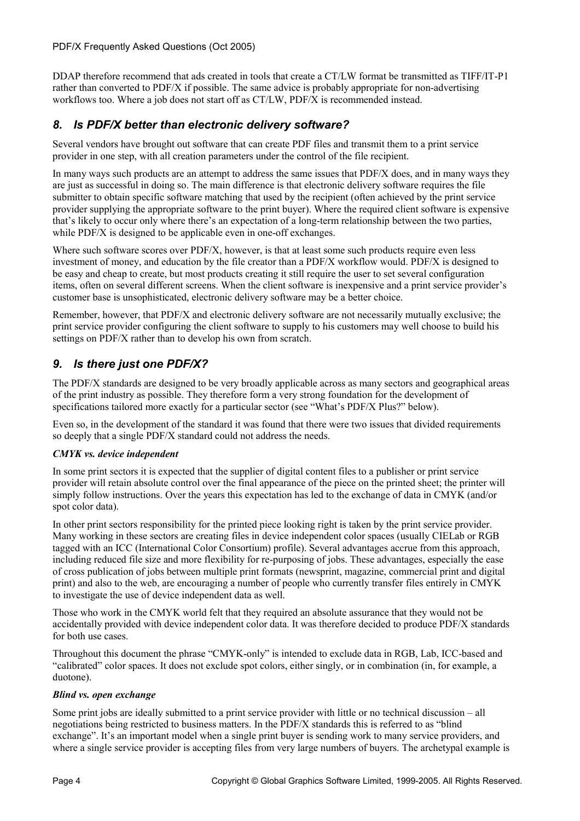DDAP therefore recommend that ads created in tools that create a CT/LW format be transmitted as TIFF/IT-P1 rather than converted to PDF/X if possible. The same advice is probably appropriate for non-advertising workflows too. Where a job does not start off as CT/LW, PDF/X is recommended instead.

## *8. Is PDF/X better than electronic delivery software?*

Several vendors have brought out software that can create PDF files and transmit them to a print service provider in one step, with all creation parameters under the control of the file recipient.

In many ways such products are an attempt to address the same issues that PDF/X does, and in many ways they are just as successful in doing so. The main difference is that electronic delivery software requires the file submitter to obtain specific software matching that used by the recipient (often achieved by the print service provider supplying the appropriate software to the print buyer). Where the required client software is expensive that's likely to occur only where there's an expectation of a long-term relationship between the two parties, while PDF/X is designed to be applicable even in one-off exchanges.

Where such software scores over PDF/X, however, is that at least some such products require even less investment of money, and education by the file creator than a PDF/X workflow would. PDF/X is designed to be easy and cheap to create, but most products creating it still require the user to set several configuration items, often on several different screens. When the client software is inexpensive and a print service provider's customer base is unsophisticated, electronic delivery software may be a better choice.

Remember, however, that PDF/X and electronic delivery software are not necessarily mutually exclusive; the print service provider configuring the client software to supply to his customers may well choose to build his settings on PDF/X rather than to develop his own from scratch.

## *9. Is there just one PDF/X?*

The PDF/X standards are designed to be very broadly applicable across as many sectors and geographical areas of the print industry as possible. They therefore form a very strong foundation for the development of specifications tailored more exactly for a particular sector (see "What's PDF/X Plus?" below).

Even so, in the development of the standard it was found that there were two issues that divided requirements so deeply that a single PDF/X standard could not address the needs.

#### *CMYK vs. device independent*

In some print sectors it is expected that the supplier of digital content files to a publisher or print service provider will retain absolute control over the final appearance of the piece on the printed sheet; the printer will simply follow instructions. Over the years this expectation has led to the exchange of data in CMYK (and/or spot color data).

In other print sectors responsibility for the printed piece looking right is taken by the print service provider. Many working in these sectors are creating files in device independent color spaces (usually CIELab or RGB tagged with an ICC (International Color Consortium) profile). Several advantages accrue from this approach, including reduced file size and more flexibility for re-purposing of jobs. These advantages, especially the ease of cross publication of jobs between multiple print formats (newsprint, magazine, commercial print and digital print) and also to the web, are encouraging a number of people who currently transfer files entirely in CMYK to investigate the use of device independent data as well.

Those who work in the CMYK world felt that they required an absolute assurance that they would not be accidentally provided with device independent color data. It was therefore decided to produce PDF/X standards for both use cases.

Throughout this document the phrase "CMYK-only" is intended to exclude data in RGB, Lab, ICC-based and "calibrated" color spaces. It does not exclude spot colors, either singly, or in combination (in, for example, a duotone).

#### *Blind vs. open exchange*

Some print jobs are ideally submitted to a print service provider with little or no technical discussion – all negotiations being restricted to business matters. In the PDF/X standards this is referred to as "blind exchange". It's an important model when a single print buyer is sending work to many service providers, and where a single service provider is accepting files from very large numbers of buyers. The archetypal example is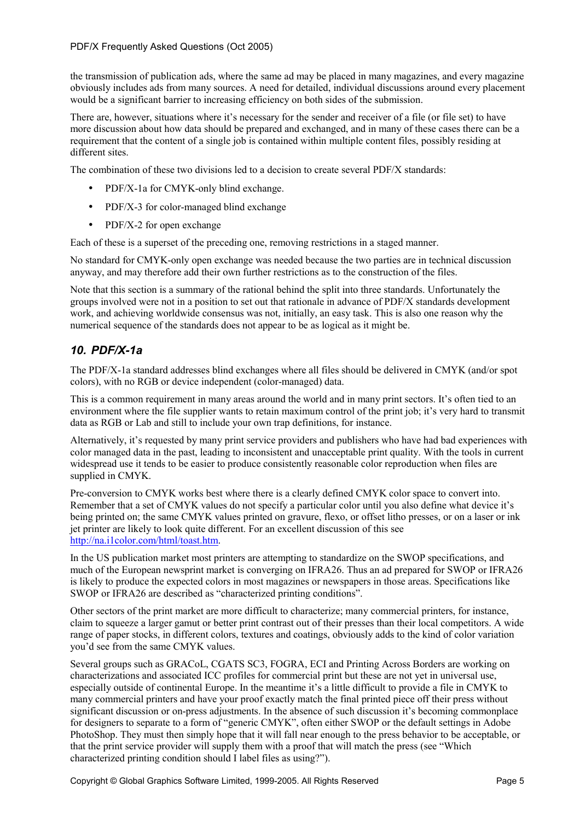the transmission of publication ads, where the same ad may be placed in many magazines, and every magazine obviously includes ads from many sources. A need for detailed, individual discussions around every placement would be a significant barrier to increasing efficiency on both sides of the submission.

There are, however, situations where it's necessary for the sender and receiver of a file (or file set) to have more discussion about how data should be prepared and exchanged, and in many of these cases there can be a requirement that the content of a single job is contained within multiple content files, possibly residing at different sites.

The combination of these two divisions led to a decision to create several PDF/X standards:

- PDF/X-1a for CMYK-only blind exchange.
- PDF/X-3 for color-managed blind exchange
- PDF/X-2 for open exchange

Each of these is a superset of the preceding one, removing restrictions in a staged manner.

No standard for CMYK-only open exchange was needed because the two parties are in technical discussion anyway, and may therefore add their own further restrictions as to the construction of the files.

Note that this section is a summary of the rational behind the split into three standards. Unfortunately the groups involved were not in a position to set out that rationale in advance of PDF/X standards development work, and achieving worldwide consensus was not, initially, an easy task. This is also one reason why the numerical sequence of the standards does not appear to be as logical as it might be.

# *10. PDF/X-1a*

The PDF/X-1a standard addresses blind exchanges where all files should be delivered in CMYK (and/or spot colors), with no RGB or device independent (color-managed) data.

This is a common requirement in many areas around the world and in many print sectors. It's often tied to an environment where the file supplier wants to retain maximum control of the print job; it's very hard to transmit data as RGB or Lab and still to include your own trap definitions, for instance.

Alternatively, it's requested by many print service providers and publishers who have had bad experiences with color managed data in the past, leading to inconsistent and unacceptable print quality. With the tools in current widespread use it tends to be easier to produce consistently reasonable color reproduction when files are supplied in CMYK.

Pre-conversion to CMYK works best where there is a clearly defined CMYK color space to convert into. Remember that a set of CMYK values do not specify a particular color until you also define what device it's being printed on; the same CMYK values printed on gravure, flexo, or offset litho presses, or on a laser or ink jet printer are likely to look quite different. For an excellent discussion of this see http://na.i1color.com/html/toast.htm.

In the US publication market most printers are attempting to standardize on the SWOP specifications, and much of the European newsprint market is converging on IFRA26. Thus an ad prepared for SWOP or IFRA26 is likely to produce the expected colors in most magazines or newspapers in those areas. Specifications like SWOP or IFRA26 are described as "characterized printing conditions".

Other sectors of the print market are more difficult to characterize; many commercial printers, for instance, claim to squeeze a larger gamut or better print contrast out of their presses than their local competitors. A wide range of paper stocks, in different colors, textures and coatings, obviously adds to the kind of color variation you'd see from the same CMYK values.

Several groups such as GRACoL, CGATS SC3, FOGRA, ECI and Printing Across Borders are working on characterizations and associated ICC profiles for commercial print but these are not yet in universal use, especially outside of continental Europe. In the meantime it's a little difficult to provide a file in CMYK to many commercial printers and have your proof exactly match the final printed piece off their press without significant discussion or on-press adjustments. In the absence of such discussion it's becoming commonplace for designers to separate to a form of "generic CMYK", often either SWOP or the default settings in Adobe PhotoShop. They must then simply hope that it will fall near enough to the press behavior to be acceptable, or that the print service provider will supply them with a proof that will match the press (see "Which characterized printing condition should I label files as using?").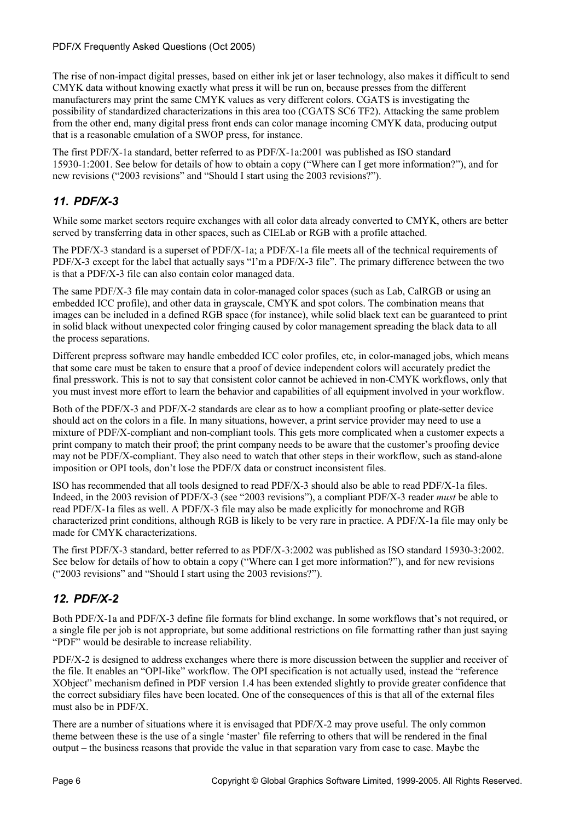The rise of non-impact digital presses, based on either ink jet or laser technology, also makes it difficult to send CMYK data without knowing exactly what press it will be run on, because presses from the different manufacturers may print the same CMYK values as very different colors. CGATS is investigating the possibility of standardized characterizations in this area too (CGATS SC6 TF2). Attacking the same problem from the other end, many digital press front ends can color manage incoming CMYK data, producing output that is a reasonable emulation of a SWOP press, for instance.

The first PDF/X-1a standard, better referred to as PDF/X-1a:2001 was published as ISO standard 15930-1:2001. See below for details of how to obtain a copy ("Where can I get more information?"), and for new revisions ("2003 revisions" and "Should I start using the 2003 revisions?").

# *11. PDF/X-3*

While some market sectors require exchanges with all color data already converted to CMYK, others are better served by transferring data in other spaces, such as CIELab or RGB with a profile attached.

The PDF/X-3 standard is a superset of PDF/X-1a; a PDF/X-1a file meets all of the technical requirements of PDF/X-3 except for the label that actually says "I'm a PDF/X-3 file". The primary difference between the two is that a PDF/X-3 file can also contain color managed data.

The same PDF/X-3 file may contain data in color-managed color spaces (such as Lab, CalRGB or using an embedded ICC profile), and other data in grayscale, CMYK and spot colors. The combination means that images can be included in a defined RGB space (for instance), while solid black text can be guaranteed to print in solid black without unexpected color fringing caused by color management spreading the black data to all the process separations.

Different prepress software may handle embedded ICC color profiles, etc, in color-managed jobs, which means that some care must be taken to ensure that a proof of device independent colors will accurately predict the final presswork. This is not to say that consistent color cannot be achieved in non-CMYK workflows, only that you must invest more effort to learn the behavior and capabilities of all equipment involved in your workflow.

Both of the PDF/X-3 and PDF/X-2 standards are clear as to how a compliant proofing or plate-setter device should act on the colors in a file. In many situations, however, a print service provider may need to use a mixture of PDF/X-compliant and non-compliant tools. This gets more complicated when a customer expects a print company to match their proof; the print company needs to be aware that the customer's proofing device may not be PDF/X-compliant. They also need to watch that other steps in their workflow, such as stand-alone imposition or OPI tools, don't lose the PDF/X data or construct inconsistent files.

ISO has recommended that all tools designed to read PDF/X-3 should also be able to read PDF/X-1a files. Indeed, in the 2003 revision of PDF/X-3 (see "2003 revisions"), a compliant PDF/X-3 reader *must* be able to read PDF/X-1a files as well. A PDF/X-3 file may also be made explicitly for monochrome and RGB characterized print conditions, although RGB is likely to be very rare in practice. A PDF/X-1a file may only be made for CMYK characterizations.

The first PDF/X-3 standard, better referred to as PDF/X-3:2002 was published as ISO standard 15930-3:2002. See below for details of how to obtain a copy ("Where can I get more information?"), and for new revisions ("2003 revisions" and "Should I start using the 2003 revisions?").

# *12. PDF/X-2*

Both PDF/X-1a and PDF/X-3 define file formats for blind exchange. In some workflows that's not required, or a single file per job is not appropriate, but some additional restrictions on file formatting rather than just saying "PDF" would be desirable to increase reliability.

PDF/X-2 is designed to address exchanges where there is more discussion between the supplier and receiver of the file. It enables an "OPI-like" workflow. The OPI specification is not actually used, instead the "reference XObject" mechanism defined in PDF version 1.4 has been extended slightly to provide greater confidence that the correct subsidiary files have been located. One of the consequences of this is that all of the external files must also be in PDF/X.

There are a number of situations where it is envisaged that PDF/X-2 may prove useful. The only common theme between these is the use of a single 'master' file referring to others that will be rendered in the final output – the business reasons that provide the value in that separation vary from case to case. Maybe the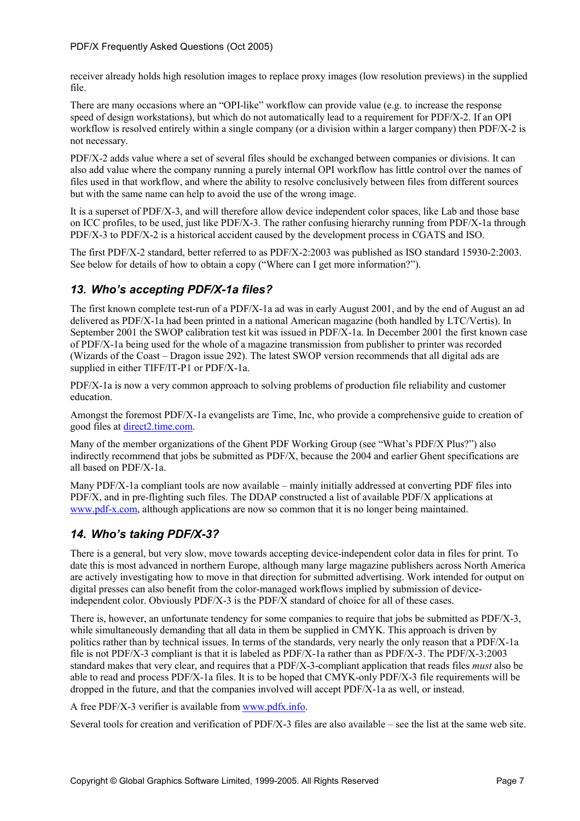receiver already holds high resolution images to replace proxy images (low resolution previews) in the supplied file.

There are many occasions where an "OPI-like" workflow can provide value (e.g. to increase the response speed of design workstations), but which do not automatically lead to a requirement for PDF/X-2. If an OPI workflow is resolved entirely within a single company (or a division within a larger company) then PDF/X-2 is not necessary.

PDF/X-2 adds value where a set of several files should be exchanged between companies or divisions. It can also add value where the company running a purely internal OPI workflow has little control over the names of files used in that workflow, and where the ability to resolve conclusively between files from different sources but with the same name can help to avoid the use of the wrong image.

It is a superset of PDF/X-3, and will therefore allow device independent color spaces, like Lab and those base on ICC profiles, to be used, just like PDF/X-3. The rather confusing hierarchy running from PDF/X-1a through PDF/X-3 to PDF/X-2 is a historical accident caused by the development process in CGATS and ISO.

The first PDF/X-2 standard, better referred to as PDF/X-2:2003 was published as ISO standard 15930-2:2003. See below for details of how to obtain a copy ("Where can I get more information?").

# *13. Who's accepting PDF/X-1a files?*

The first known complete test-run of a PDF/X-1a ad was in early August 2001, and by the end of August an ad delivered as PDF/X-1a had been printed in a national American magazine (both handled by LTC/Vertis). In September 2001 the SWOP calibration test kit was issued in PDF/X-1a. In December 2001 the first known case of PDF/X-1a being used for the whole of a magazine transmission from publisher to printer was recorded (Wizards of the Coast – Dragon issue 292). The latest SWOP version recommends that all digital ads are supplied in either TIFF/IT-P1 or PDF/X-1a.

PDF/X-1a is now a very common approach to solving problems of production file reliability and customer education.

Amongst the foremost PDF/X-1a evangelists are Time, Inc, who provide a comprehensive guide to creation of good files at direct2.time.com.

Many of the member organizations of the Ghent PDF Working Group (see "What's PDF/X Plus?") also indirectly recommend that jobs be submitted as PDF/X, because the 2004 and earlier Ghent specifications are all based on PDF/X-1a.

Many PDF/X-1a compliant tools are now available – mainly initially addressed at converting PDF files into PDF/X, and in pre-flighting such files. The DDAP constructed a list of available PDF/X applications at www.pdf-x.com, although applications are now so common that it is no longer being maintained.

### *14. Who's taking PDF/X-3?*

There is a general, but very slow, move towards accepting device-independent color data in files for print. To date this is most advanced in northern Europe, although many large magazine publishers across North America are actively investigating how to move in that direction for submitted advertising. Work intended for output on digital presses can also benefit from the color-managed workflows implied by submission of deviceindependent color. Obviously PDF/X-3 is the PDF/X standard of choice for all of these cases.

There is, however, an unfortunate tendency for some companies to require that jobs be submitted as PDF/X-3, while simultaneously demanding that all data in them be supplied in CMYK. This approach is driven by politics rather than by technical issues. In terms of the standards, very nearly the only reason that a PDF/X-1a file is not PDF/X-3 compliant is that it is labeled as PDF/X-1a rather than as PDF/X-3. The PDF/X-3:2003 standard makes that very clear, and requires that a PDF/X-3-compliant application that reads files *must* also be able to read and process PDF/X-1a files. It is to be hoped that CMYK-only PDF/X-3 file requirements will be dropped in the future, and that the companies involved will accept PDF/X-1a as well, or instead.

A free PDF/X-3 verifier is available from www.pdfx.info.

Several tools for creation and verification of PDF/X-3 files are also available – see the list at the same web site.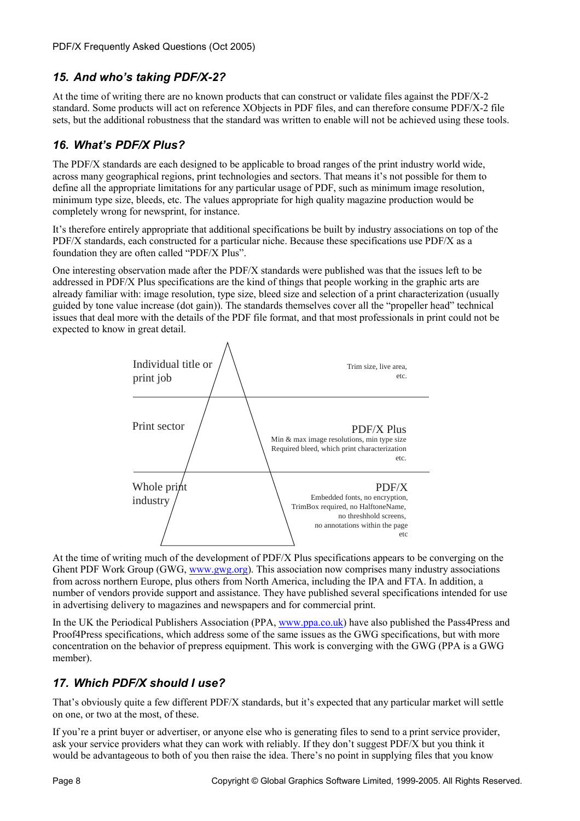# *15. And who's taking PDF/X-2?*

At the time of writing there are no known products that can construct or validate files against the PDF/X-2 standard. Some products will act on reference XObjects in PDF files, and can therefore consume PDF/X-2 file sets, but the additional robustness that the standard was written to enable will not be achieved using these tools.

# *16. What's PDF/X Plus?*

The PDF/X standards are each designed to be applicable to broad ranges of the print industry world wide, across many geographical regions, print technologies and sectors. That means it's not possible for them to define all the appropriate limitations for any particular usage of PDF, such as minimum image resolution, minimum type size, bleeds, etc. The values appropriate for high quality magazine production would be completely wrong for newsprint, for instance.

It's therefore entirely appropriate that additional specifications be built by industry associations on top of the PDF/X standards, each constructed for a particular niche. Because these specifications use PDF/X as a foundation they are often called "PDF/X Plus".

One interesting observation made after the PDF/X standards were published was that the issues left to be addressed in PDF/X Plus specifications are the kind of things that people working in the graphic arts are already familiar with: image resolution, type size, bleed size and selection of a print characterization (usually guided by tone value increase (dot gain)). The standards themselves cover all the "propeller head" technical issues that deal more with the details of the PDF file format, and that most professionals in print could not be expected to know in great detail.



At the time of writing much of the development of PDF/X Plus specifications appears to be converging on the Ghent PDF Work Group (GWG, www.gwg.org). This association now comprises many industry associations from across northern Europe, plus others from North America, including the IPA and FTA. In addition, a number of vendors provide support and assistance. They have published several specifications intended for use in advertising delivery to magazines and newspapers and for commercial print.

In the UK the Periodical Publishers Association (PPA, www.ppa.co.uk) have also published the Pass4Press and Proof4Press specifications, which address some of the same issues as the GWG specifications, but with more concentration on the behavior of prepress equipment. This work is converging with the GWG (PPA is a GWG member).

# *17. Which PDF/X should I use?*

That's obviously quite a few different PDF/X standards, but it's expected that any particular market will settle on one, or two at the most, of these.

If you're a print buyer or advertiser, or anyone else who is generating files to send to a print service provider, ask your service providers what they can work with reliably. If they don't suggest PDF/X but you think it would be advantageous to both of you then raise the idea. There's no point in supplying files that you know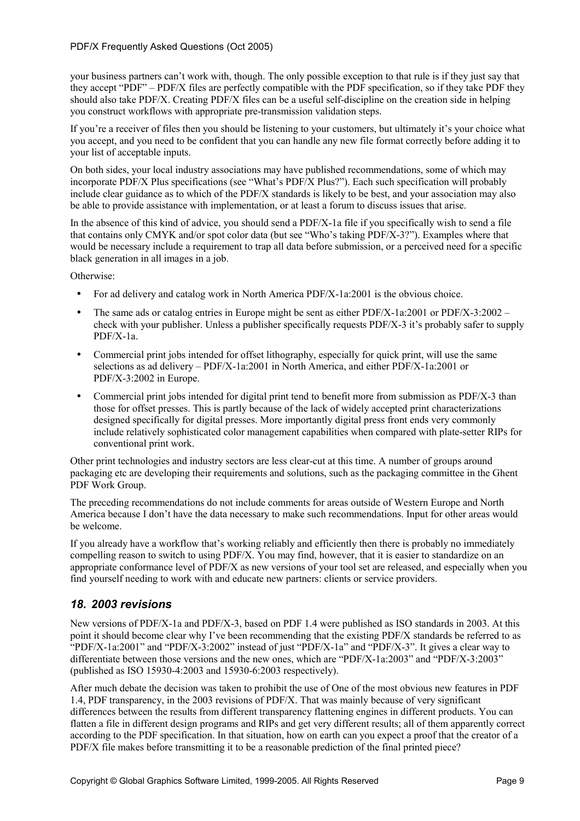your business partners can't work with, though. The only possible exception to that rule is if they just say that they accept "PDF" – PDF/X files are perfectly compatible with the PDF specification, so if they take PDF they should also take PDF/X. Creating PDF/X files can be a useful self-discipline on the creation side in helping you construct workflows with appropriate pre-transmission validation steps.

If you're a receiver of files then you should be listening to your customers, but ultimately it's your choice what you accept, and you need to be confident that you can handle any new file format correctly before adding it to your list of acceptable inputs.

On both sides, your local industry associations may have published recommendations, some of which may incorporate PDF/X Plus specifications (see "What's PDF/X Plus?"). Each such specification will probably include clear guidance as to which of the PDF/X standards is likely to be best, and your association may also be able to provide assistance with implementation, or at least a forum to discuss issues that arise.

In the absence of this kind of advice, you should send a PDF/X-1a file if you specifically wish to send a file that contains only CMYK and/or spot color data (but see "Who's taking PDF/X-3?"). Examples where that would be necessary include a requirement to trap all data before submission, or a perceived need for a specific black generation in all images in a job.

Otherwise:

- For ad delivery and catalog work in North America PDF/X-1a:2001 is the obvious choice.
- The same ads or catalog entries in Europe might be sent as either PDF/X-1a:2001 or PDF/X-3:2002 check with your publisher. Unless a publisher specifically requests PDF/X-3 it's probably safer to supply PDF/X-1a.
- Commercial print jobs intended for offset lithography, especially for quick print, will use the same selections as ad delivery – PDF/X-1a:2001 in North America, and either PDF/X-1a:2001 or PDF/X-3:2002 in Europe.
- Commercial print jobs intended for digital print tend to benefit more from submission as PDF/X-3 than those for offset presses. This is partly because of the lack of widely accepted print characterizations designed specifically for digital presses. More importantly digital press front ends very commonly include relatively sophisticated color management capabilities when compared with plate-setter RIPs for conventional print work.

Other print technologies and industry sectors are less clear-cut at this time. A number of groups around packaging etc are developing their requirements and solutions, such as the packaging committee in the Ghent PDF Work Group.

The preceding recommendations do not include comments for areas outside of Western Europe and North America because I don't have the data necessary to make such recommendations. Input for other areas would be welcome.

If you already have a workflow that's working reliably and efficiently then there is probably no immediately compelling reason to switch to using PDF/X. You may find, however, that it is easier to standardize on an appropriate conformance level of PDF/X as new versions of your tool set are released, and especially when you find yourself needing to work with and educate new partners: clients or service providers.

### *18. 2003 revisions*

New versions of PDF/X-1a and PDF/X-3, based on PDF 1.4 were published as ISO standards in 2003. At this point it should become clear why I've been recommending that the existing PDF/X standards be referred to as "PDF/X-1a:2001" and "PDF/X-3:2002" instead of just "PDF/X-1a" and "PDF/X-3". It gives a clear way to differentiate between those versions and the new ones, which are "PDF/X-1a:2003" and "PDF/X-3:2003" (published as ISO 15930-4:2003 and 15930-6:2003 respectively).

After much debate the decision was taken to prohibit the use of One of the most obvious new features in PDF 1.4, PDF transparency, in the 2003 revisions of PDF/X. That was mainly because of very significant differences between the results from different transparency flattening engines in different products. You can flatten a file in different design programs and RIPs and get very different results; all of them apparently correct according to the PDF specification. In that situation, how on earth can you expect a proof that the creator of a PDF/X file makes before transmitting it to be a reasonable prediction of the final printed piece?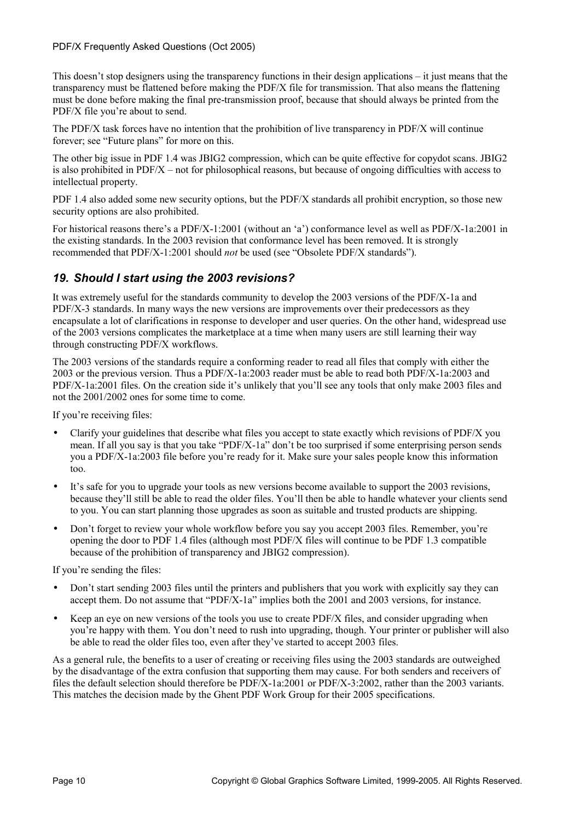This doesn't stop designers using the transparency functions in their design applications – it just means that the transparency must be flattened before making the PDF/X file for transmission. That also means the flattening must be done before making the final pre-transmission proof, because that should always be printed from the PDF/X file you're about to send.

The PDF/X task forces have no intention that the prohibition of live transparency in PDF/X will continue forever; see "Future plans" for more on this.

The other big issue in PDF 1.4 was JBIG2 compression, which can be quite effective for copydot scans. JBIG2 is also prohibited in PDF/X – not for philosophical reasons, but because of ongoing difficulties with access to intellectual property.

PDF 1.4 also added some new security options, but the PDF/X standards all prohibit encryption, so those new security options are also prohibited.

For historical reasons there's a PDF/X-1:2001 (without an 'a') conformance level as well as PDF/X-1a:2001 in the existing standards. In the 2003 revision that conformance level has been removed. It is strongly recommended that PDF/X-1:2001 should *not* be used (see "Obsolete PDF/X standards").

## *19. Should I start using the 2003 revisions?*

It was extremely useful for the standards community to develop the 2003 versions of the PDF/X-1a and PDF/X-3 standards. In many ways the new versions are improvements over their predecessors as they encapsulate a lot of clarifications in response to developer and user queries. On the other hand, widespread use of the 2003 versions complicates the marketplace at a time when many users are still learning their way through constructing PDF/X workflows.

The 2003 versions of the standards require a conforming reader to read all files that comply with either the 2003 or the previous version. Thus a PDF/X-1a:2003 reader must be able to read both PDF/X-1a:2003 and PDF/X-1a:2001 files. On the creation side it's unlikely that you'll see any tools that only make 2003 files and not the 2001/2002 ones for some time to come.

If you're receiving files:

- Clarify your guidelines that describe what files you accept to state exactly which revisions of PDF/X you mean. If all you say is that you take "PDF/X-1a" don't be too surprised if some enterprising person sends you a PDF/X-1a:2003 file before you're ready for it. Make sure your sales people know this information too.
- It's safe for you to upgrade your tools as new versions become available to support the 2003 revisions, because they'll still be able to read the older files. You'll then be able to handle whatever your clients send to you. You can start planning those upgrades as soon as suitable and trusted products are shipping.
- Don't forget to review your whole workflow before you say you accept 2003 files. Remember, you're opening the door to PDF 1.4 files (although most PDF/X files will continue to be PDF 1.3 compatible because of the prohibition of transparency and JBIG2 compression).

If you're sending the files:

- Don't start sending 2003 files until the printers and publishers that you work with explicitly say they can accept them. Do not assume that "PDF/X-1a" implies both the 2001 and 2003 versions, for instance.
- Keep an eye on new versions of the tools you use to create PDF/X files, and consider upgrading when you're happy with them. You don't need to rush into upgrading, though. Your printer or publisher will also be able to read the older files too, even after they've started to accept 2003 files.

As a general rule, the benefits to a user of creating or receiving files using the 2003 standards are outweighed by the disadvantage of the extra confusion that supporting them may cause. For both senders and receivers of files the default selection should therefore be PDF/X-1a:2001 or PDF/X-3:2002, rather than the 2003 variants. This matches the decision made by the Ghent PDF Work Group for their 2005 specifications.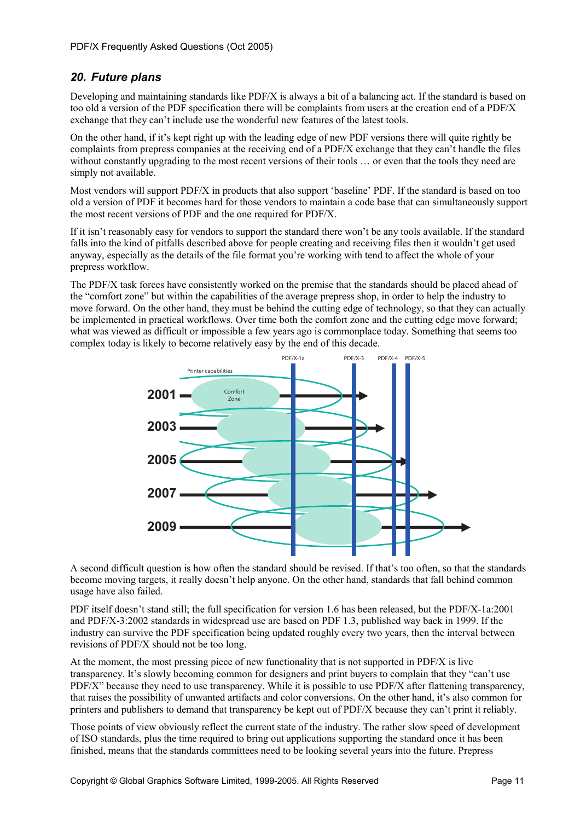## *20. Future plans*

Developing and maintaining standards like PDF/X is always a bit of a balancing act. If the standard is based on too old a version of the PDF specification there will be complaints from users at the creation end of a PDF/X exchange that they can't include use the wonderful new features of the latest tools.

On the other hand, if it's kept right up with the leading edge of new PDF versions there will quite rightly be complaints from prepress companies at the receiving end of a PDF/X exchange that they can't handle the files without constantly upgrading to the most recent versions of their tools ... or even that the tools they need are simply not available.

Most vendors will support PDF/X in products that also support 'baseline' PDF. If the standard is based on too old a version of PDF it becomes hard for those vendors to maintain a code base that can simultaneously support the most recent versions of PDF and the one required for PDF/X.

If it isn't reasonably easy for vendors to support the standard there won't be any tools available. If the standard falls into the kind of pitfalls described above for people creating and receiving files then it wouldn't get used anyway, especially as the details of the file format you're working with tend to affect the whole of your prepress workflow.

The PDF/X task forces have consistently worked on the premise that the standards should be placed ahead of the "comfort zone" but within the capabilities of the average prepress shop, in order to help the industry to move forward. On the other hand, they must be behind the cutting edge of technology, so that they can actually be implemented in practical workflows. Over time both the comfort zone and the cutting edge move forward; what was viewed as difficult or impossible a few years ago is commonplace today. Something that seems too complex today is likely to become relatively easy by the end of this decade.



A second difficult question is how often the standard should be revised. If that's too often, so that the standards become moving targets, it really doesn't help anyone. On the other hand, standards that fall behind common usage have also failed.

PDF itself doesn't stand still; the full specification for version 1.6 has been released, but the PDF/X-1a:2001 and PDF/X-3:2002 standards in widespread use are based on PDF 1.3, published way back in 1999. If the industry can survive the PDF specification being updated roughly every two years, then the interval between revisions of PDF/X should not be too long.

At the moment, the most pressing piece of new functionality that is not supported in PDF/X is live transparency. It's slowly becoming common for designers and print buyers to complain that they "can't use PDF/X" because they need to use transparency. While it is possible to use PDF/X after flattening transparency, that raises the possibility of unwanted artifacts and color conversions. On the other hand, it's also common for printers and publishers to demand that transparency be kept out of PDF/X because they can't print it reliably.

Those points of view obviously reflect the current state of the industry. The rather slow speed of development of ISO standards, plus the time required to bring out applications supporting the standard once it has been finished, means that the standards committees need to be looking several years into the future. Prepress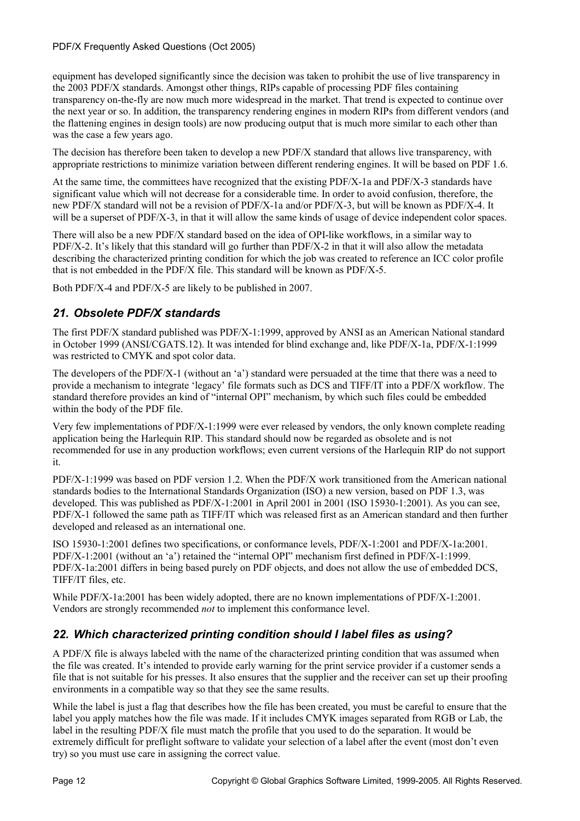equipment has developed significantly since the decision was taken to prohibit the use of live transparency in the 2003 PDF/X standards. Amongst other things, RIPs capable of processing PDF files containing transparency on-the-fly are now much more widespread in the market. That trend is expected to continue over the next year or so. In addition, the transparency rendering engines in modern RIPs from different vendors (and the flattening engines in design tools) are now producing output that is much more similar to each other than was the case a few years ago.

The decision has therefore been taken to develop a new PDF/X standard that allows live transparency, with appropriate restrictions to minimize variation between different rendering engines. It will be based on PDF 1.6.

At the same time, the committees have recognized that the existing PDF/X-1a and PDF/X-3 standards have significant value which will not decrease for a considerable time. In order to avoid confusion, therefore, the new PDF/X standard will not be a revision of PDF/X-1a and/or PDF/X-3, but will be known as PDF/X-4. It will be a superset of PDF/X-3, in that it will allow the same kinds of usage of device independent color spaces.

There will also be a new PDF/X standard based on the idea of OPI-like workflows, in a similar way to PDF/X-2. It's likely that this standard will go further than PDF/X-2 in that it will also allow the metadata describing the characterized printing condition for which the job was created to reference an ICC color profile that is not embedded in the PDF/X file. This standard will be known as PDF/X-5.

Both PDF/X-4 and PDF/X-5 are likely to be published in 2007.

## *21. Obsolete PDF/X standards*

The first PDF/X standard published was PDF/X-1:1999, approved by ANSI as an American National standard in October 1999 (ANSI/CGATS.12). It was intended for blind exchange and, like PDF/X-1a, PDF/X-1:1999 was restricted to CMYK and spot color data.

The developers of the PDF/X-1 (without an 'a') standard were persuaded at the time that there was a need to provide a mechanism to integrate 'legacy' file formats such as DCS and TIFF/IT into a PDF/X workflow. The standard therefore provides an kind of "internal OPI" mechanism, by which such files could be embedded within the body of the PDF file.

Very few implementations of PDF/X-1:1999 were ever released by vendors, the only known complete reading application being the Harlequin RIP. This standard should now be regarded as obsolete and is not recommended for use in any production workflows; even current versions of the Harlequin RIP do not support it.

PDF/X-1:1999 was based on PDF version 1.2. When the PDF/X work transitioned from the American national standards bodies to the International Standards Organization (ISO) a new version, based on PDF 1.3, was developed. This was published as PDF/X-1:2001 in April 2001 in 2001 (ISO 15930-1:2001). As you can see, PDF/X-1 followed the same path as TIFF/IT which was released first as an American standard and then further developed and released as an international one.

ISO 15930-1:2001 defines two specifications, or conformance levels, PDF/X-1:2001 and PDF/X-1a:2001. PDF/X-1:2001 (without an 'a') retained the "internal OPI" mechanism first defined in PDF/X-1:1999. PDF/X-1a:2001 differs in being based purely on PDF objects, and does not allow the use of embedded DCS, TIFF/IT files, etc.

While PDF/X-1a:2001 has been widely adopted, there are no known implementations of PDF/X-1:2001. Vendors are strongly recommended *not* to implement this conformance level.

### *22. Which characterized printing condition should I label files as using?*

A PDF/X file is always labeled with the name of the characterized printing condition that was assumed when the file was created. It's intended to provide early warning for the print service provider if a customer sends a file that is not suitable for his presses. It also ensures that the supplier and the receiver can set up their proofing environments in a compatible way so that they see the same results.

While the label is just a flag that describes how the file has been created, you must be careful to ensure that the label you apply matches how the file was made. If it includes CMYK images separated from RGB or Lab, the label in the resulting PDF/X file must match the profile that you used to do the separation. It would be extremely difficult for preflight software to validate your selection of a label after the event (most don't even try) so you must use care in assigning the correct value.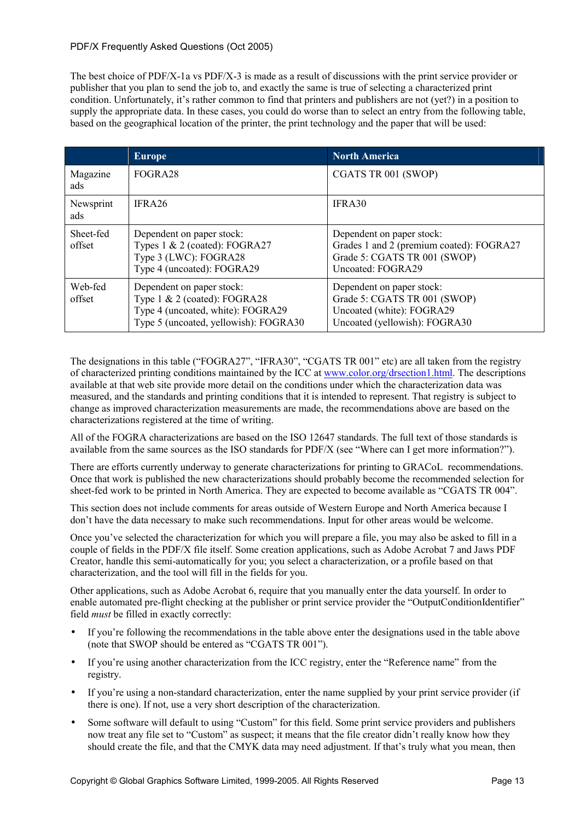The best choice of PDF/X-1a vs PDF/X-3 is made as a result of discussions with the print service provider or publisher that you plan to send the job to, and exactly the same is true of selecting a characterized print condition. Unfortunately, it's rather common to find that printers and publishers are not (yet?) in a position to supply the appropriate data. In these cases, you could do worse than to select an entry from the following table, based on the geographical location of the printer, the print technology and the paper that will be used:

|                     | <b>Europe</b>                                                                                                                              | <b>North America</b>                                                                                                       |
|---------------------|--------------------------------------------------------------------------------------------------------------------------------------------|----------------------------------------------------------------------------------------------------------------------------|
| Magazine<br>ads     | FOGRA28                                                                                                                                    | CGATS TR 001 (SWOP)                                                                                                        |
| Newsprint<br>ads    | IFRA26                                                                                                                                     | IFRA30                                                                                                                     |
| Sheet-fed<br>offset | Dependent on paper stock:<br>Types 1 & 2 (coated): FOGRA27<br>Type 3 (LWC): FOGRA28<br>Type 4 (uncoated): FOGRA29                          | Dependent on paper stock:<br>Grades 1 and 2 (premium coated): FOGRA27<br>Grade 5: CGATS TR 001 (SWOP)<br>Uncoated: FOGRA29 |
| Web-fed<br>offset   | Dependent on paper stock:<br>Type $1 \& 2$ (coated): FOGRA28<br>Type 4 (uncoated, white): FOGRA29<br>Type 5 (uncoated, yellowish): FOGRA30 | Dependent on paper stock:<br>Grade 5: CGATS TR 001 (SWOP)<br>Uncoated (white): FOGRA29<br>Uncoated (yellowish): FOGRA30    |

The designations in this table ("FOGRA27", "IFRA30", "CGATS TR 001" etc) are all taken from the registry of characterized printing conditions maintained by the ICC at www.color.org/drsection1.html. The descriptions available at that web site provide more detail on the conditions under which the characterization data was measured, and the standards and printing conditions that it is intended to represent. That registry is subject to change as improved characterization measurements are made, the recommendations above are based on the characterizations registered at the time of writing.

All of the FOGRA characterizations are based on the ISO 12647 standards. The full text of those standards is available from the same sources as the ISO standards for PDF/X (see "Where can I get more information?").

There are efforts currently underway to generate characterizations for printing to GRACoL recommendations. Once that work is published the new characterizations should probably become the recommended selection for sheet-fed work to be printed in North America. They are expected to become available as "CGATS TR 004".

This section does not include comments for areas outside of Western Europe and North America because I don't have the data necessary to make such recommendations. Input for other areas would be welcome.

Once you've selected the characterization for which you will prepare a file, you may also be asked to fill in a couple of fields in the PDF/X file itself. Some creation applications, such as Adobe Acrobat 7 and Jaws PDF Creator, handle this semi-automatically for you; you select a characterization, or a profile based on that characterization, and the tool will fill in the fields for you.

Other applications, such as Adobe Acrobat 6, require that you manually enter the data yourself. In order to enable automated pre-flight checking at the publisher or print service provider the "OutputConditionIdentifier" field *must* be filled in exactly correctly:

- If you're following the recommendations in the table above enter the designations used in the table above (note that SWOP should be entered as "CGATS TR 001").
- If you're using another characterization from the ICC registry, enter the "Reference name" from the registry.
- If you're using a non-standard characterization, enter the name supplied by your print service provider (if there is one). If not, use a very short description of the characterization.
- Some software will default to using "Custom" for this field. Some print service providers and publishers now treat any file set to "Custom" as suspect; it means that the file creator didn't really know how they should create the file, and that the CMYK data may need adjustment. If that's truly what you mean, then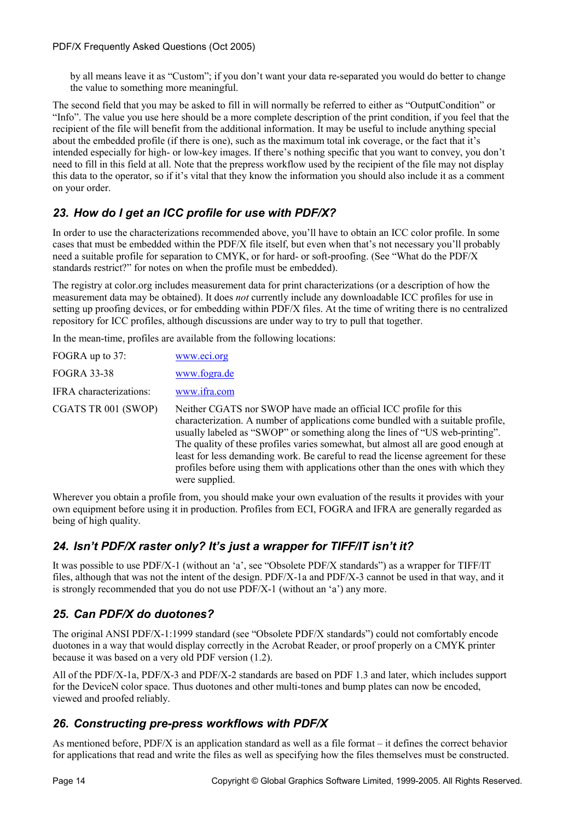by all means leave it as "Custom"; if you don't want your data re-separated you would do better to change the value to something more meaningful.

The second field that you may be asked to fill in will normally be referred to either as "OutputCondition" or "Info". The value you use here should be a more complete description of the print condition, if you feel that the recipient of the file will benefit from the additional information. It may be useful to include anything special about the embedded profile (if there is one), such as the maximum total ink coverage, or the fact that it's intended especially for high- or low-key images. If there's nothing specific that you want to convey, you don't need to fill in this field at all. Note that the prepress workflow used by the recipient of the file may not display this data to the operator, so if it's vital that they know the information you should also include it as a comment on your order.

# *23. How do I get an ICC profile for use with PDF/X?*

In order to use the characterizations recommended above, you'll have to obtain an ICC color profile. In some cases that must be embedded within the PDF/X file itself, but even when that's not necessary you'll probably need a suitable profile for separation to CMYK, or for hard- or soft-proofing. (See "What do the PDF/X standards restrict?" for notes on when the profile must be embedded).

The registry at color.org includes measurement data for print characterizations (or a description of how the measurement data may be obtained). It does *not* currently include any downloadable ICC profiles for use in setting up proofing devices, or for embedding within PDF/X files. At the time of writing there is no centralized repository for ICC profiles, although discussions are under way to try to pull that together.

In the mean-time, profiles are available from the following locations:

| FOGRA up to 37:         | www.eci.org                                                                                                                                                                                                                                                                                                                                                                                                                                                                                                          |
|-------------------------|----------------------------------------------------------------------------------------------------------------------------------------------------------------------------------------------------------------------------------------------------------------------------------------------------------------------------------------------------------------------------------------------------------------------------------------------------------------------------------------------------------------------|
| <b>FOGRA 33-38</b>      | www.fogra.de                                                                                                                                                                                                                                                                                                                                                                                                                                                                                                         |
| IFRA characterizations: | www.ifra.com                                                                                                                                                                                                                                                                                                                                                                                                                                                                                                         |
| CGATS TR 001 (SWOP)     | Neither CGATS nor SWOP have made an official ICC profile for this<br>characterization. A number of applications come bundled with a suitable profile,<br>usually labeled as "SWOP" or something along the lines of "US web-printing".<br>The quality of these profiles varies somewhat, but almost all are good enough at<br>least for less demanding work. Be careful to read the license agreement for these<br>profiles before using them with applications other than the ones with which they<br>were supplied. |

Wherever you obtain a profile from, you should make your own evaluation of the results it provides with your own equipment before using it in production. Profiles from ECI, FOGRA and IFRA are generally regarded as being of high quality.

# *24. Isn't PDF/X raster only? It's just a wrapper for TIFF/IT isn't it?*

It was possible to use PDF/X-1 (without an 'a', see "Obsolete PDF/X standards") as a wrapper for TIFF/IT files, although that was not the intent of the design. PDF/X-1a and PDF/X-3 cannot be used in that way, and it is strongly recommended that you do not use PDF/X-1 (without an 'a') any more.

# *25. Can PDF/X do duotones?*

The original ANSI PDF/X-1:1999 standard (see "Obsolete PDF/X standards") could not comfortably encode duotones in a way that would display correctly in the Acrobat Reader, or proof properly on a CMYK printer because it was based on a very old PDF version (1.2).

All of the PDF/X-1a, PDF/X-3 and PDF/X-2 standards are based on PDF 1.3 and later, which includes support for the DeviceN color space. Thus duotones and other multi-tones and bump plates can now be encoded, viewed and proofed reliably.

# *26. Constructing pre-press workflows with PDF/X*

As mentioned before, PDF/X is an application standard as well as a file format – it defines the correct behavior for applications that read and write the files as well as specifying how the files themselves must be constructed.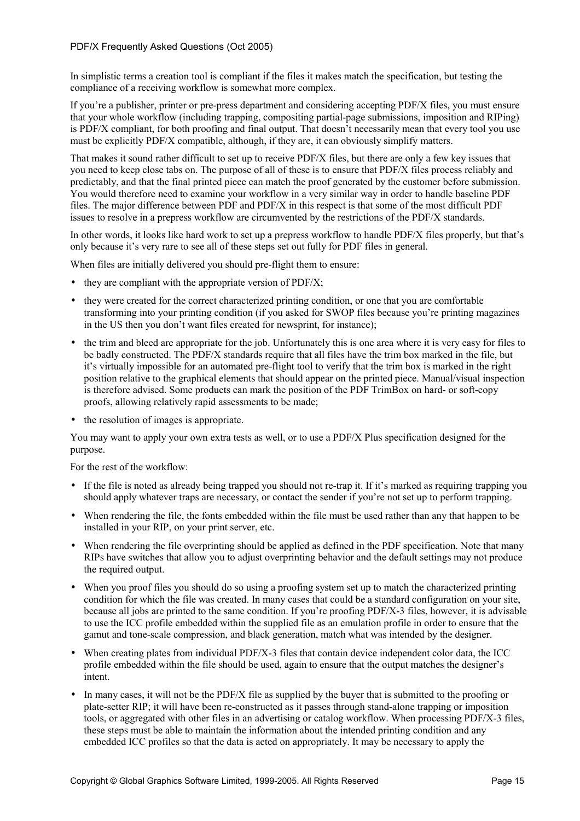In simplistic terms a creation tool is compliant if the files it makes match the specification, but testing the compliance of a receiving workflow is somewhat more complex.

If you're a publisher, printer or pre-press department and considering accepting PDF/X files, you must ensure that your whole workflow (including trapping, compositing partial-page submissions, imposition and RIPing) is PDF/X compliant, for both proofing and final output. That doesn't necessarily mean that every tool you use must be explicitly PDF/X compatible, although, if they are, it can obviously simplify matters.

That makes it sound rather difficult to set up to receive PDF/X files, but there are only a few key issues that you need to keep close tabs on. The purpose of all of these is to ensure that PDF/X files process reliably and predictably, and that the final printed piece can match the proof generated by the customer before submission. You would therefore need to examine your workflow in a very similar way in order to handle baseline PDF files. The major difference between PDF and PDF/X in this respect is that some of the most difficult PDF issues to resolve in a prepress workflow are circumvented by the restrictions of the PDF/X standards.

In other words, it looks like hard work to set up a prepress workflow to handle PDF/X files properly, but that's only because it's very rare to see all of these steps set out fully for PDF files in general.

When files are initially delivered you should pre-flight them to ensure:

- $\bullet$  they are compliant with the appropriate version of PDF/X;
- they were created for the correct characterized printing condition, or one that you are comfortable transforming into your printing condition (if you asked for SWOP files because you're printing magazines in the US then you don't want files created for newsprint, for instance);
- the trim and bleed are appropriate for the job. Unfortunately this is one area where it is very easy for files to be badly constructed. The PDF/X standards require that all files have the trim box marked in the file, but it's virtually impossible for an automated pre-flight tool to verify that the trim box is marked in the right position relative to the graphical elements that should appear on the printed piece. Manual/visual inspection is therefore advised. Some products can mark the position of the PDF TrimBox on hard- or soft-copy proofs, allowing relatively rapid assessments to be made;
- the resolution of images is appropriate.

You may want to apply your own extra tests as well, or to use a PDF/X Plus specification designed for the purpose.

For the rest of the workflow:

- If the file is noted as already being trapped you should not re-trap it. If it's marked as requiring trapping you should apply whatever traps are necessary, or contact the sender if you're not set up to perform trapping.
- When rendering the file, the fonts embedded within the file must be used rather than any that happen to be installed in your RIP, on your print server, etc.
- When rendering the file overprinting should be applied as defined in the PDF specification. Note that many RIPs have switches that allow you to adjust overprinting behavior and the default settings may not produce the required output.
- When you proof files you should do so using a proofing system set up to match the characterized printing condition for which the file was created. In many cases that could be a standard configuration on your site, because all jobs are printed to the same condition. If you're proofing PDF/X-3 files, however, it is advisable to use the ICC profile embedded within the supplied file as an emulation profile in order to ensure that the gamut and tone-scale compression, and black generation, match what was intended by the designer.
- When creating plates from individual PDF/X-3 files that contain device independent color data, the ICC profile embedded within the file should be used, again to ensure that the output matches the designer's intent.
- In many cases, it will not be the PDF/X file as supplied by the buyer that is submitted to the proofing or plate-setter RIP; it will have been re-constructed as it passes through stand-alone trapping or imposition tools, or aggregated with other files in an advertising or catalog workflow. When processing PDF/X-3 files, these steps must be able to maintain the information about the intended printing condition and any embedded ICC profiles so that the data is acted on appropriately. It may be necessary to apply the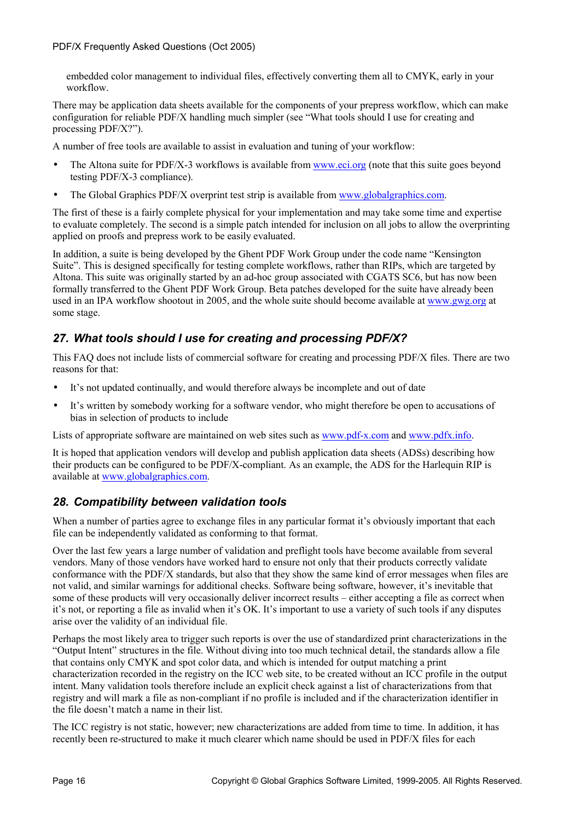embedded color management to individual files, effectively converting them all to CMYK, early in your workflow.

There may be application data sheets available for the components of your prepress workflow, which can make configuration for reliable PDF/X handling much simpler (see "What tools should I use for creating and processing PDF/X?").

A number of free tools are available to assist in evaluation and tuning of your workflow:

- The Altona suite for PDF/X-3 workflows is available from www.eci.org (note that this suite goes beyond testing PDF/X-3 compliance).
- The Global Graphics PDF/X overprint test strip is available from www.globalgraphics.com.

The first of these is a fairly complete physical for your implementation and may take some time and expertise to evaluate completely. The second is a simple patch intended for inclusion on all jobs to allow the overprinting applied on proofs and prepress work to be easily evaluated.

In addition, a suite is being developed by the Ghent PDF Work Group under the code name "Kensington Suite". This is designed specifically for testing complete workflows, rather than RIPs, which are targeted by Altona. This suite was originally started by an ad-hoc group associated with CGATS SC6, but has now been formally transferred to the Ghent PDF Work Group. Beta patches developed for the suite have already been used in an IPA workflow shootout in 2005, and the whole suite should become available at www.gwg.org at some stage.

# *27. What tools should I use for creating and processing PDF/X?*

This FAQ does not include lists of commercial software for creating and processing PDF/X files. There are two reasons for that:

- It's not updated continually, and would therefore always be incomplete and out of date
- It's written by somebody working for a software vendor, who might therefore be open to accusations of bias in selection of products to include

Lists of appropriate software are maintained on web sites such as www.pdf-x.com and www.pdfx.info.

It is hoped that application vendors will develop and publish application data sheets (ADSs) describing how their products can be configured to be PDF/X-compliant. As an example, the ADS for the Harlequin RIP is available at www.globalgraphics.com.

# *28. Compatibility between validation tools*

When a number of parties agree to exchange files in any particular format it's obviously important that each file can be independently validated as conforming to that format.

Over the last few years a large number of validation and preflight tools have become available from several vendors. Many of those vendors have worked hard to ensure not only that their products correctly validate conformance with the PDF/X standards, but also that they show the same kind of error messages when files are not valid, and similar warnings for additional checks. Software being software, however, it's inevitable that some of these products will very occasionally deliver incorrect results – either accepting a file as correct when it's not, or reporting a file as invalid when it's OK. It's important to use a variety of such tools if any disputes arise over the validity of an individual file.

Perhaps the most likely area to trigger such reports is over the use of standardized print characterizations in the "Output Intent" structures in the file. Without diving into too much technical detail, the standards allow a file that contains only CMYK and spot color data, and which is intended for output matching a print characterization recorded in the registry on the ICC web site, to be created without an ICC profile in the output intent. Many validation tools therefore include an explicit check against a list of characterizations from that registry and will mark a file as non-compliant if no profile is included and if the characterization identifier in the file doesn't match a name in their list.

The ICC registry is not static, however; new characterizations are added from time to time. In addition, it has recently been re-structured to make it much clearer which name should be used in PDF/X files for each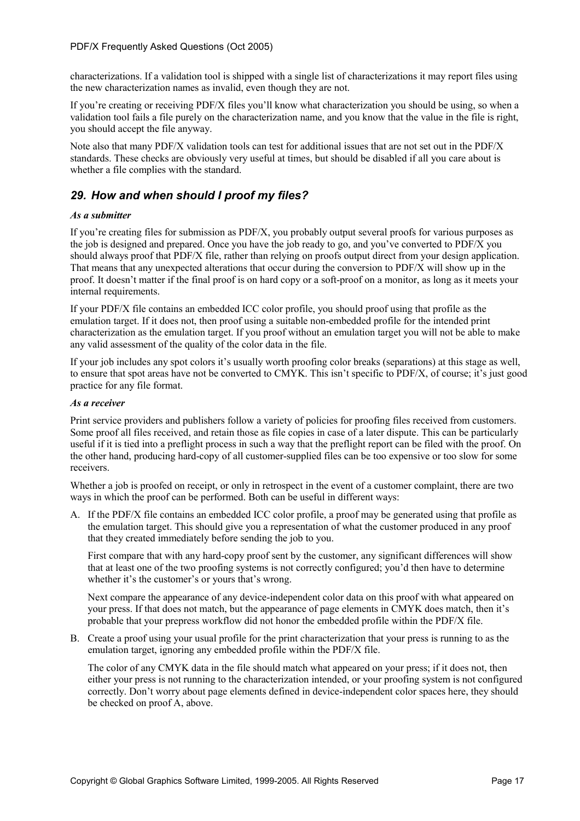characterizations. If a validation tool is shipped with a single list of characterizations it may report files using the new characterization names as invalid, even though they are not.

If you're creating or receiving PDF/X files you'll know what characterization you should be using, so when a validation tool fails a file purely on the characterization name, and you know that the value in the file is right, you should accept the file anyway.

Note also that many PDF/X validation tools can test for additional issues that are not set out in the PDF/X standards. These checks are obviously very useful at times, but should be disabled if all you care about is whether a file complies with the standard.

## *29. How and when should I proof my files?*

#### *As a submitter*

If you're creating files for submission as PDF/X, you probably output several proofs for various purposes as the job is designed and prepared. Once you have the job ready to go, and you've converted to PDF/X you should always proof that PDF/X file, rather than relying on proofs output direct from your design application. That means that any unexpected alterations that occur during the conversion to PDF/X will show up in the proof. It doesn't matter if the final proof is on hard copy or a soft-proof on a monitor, as long as it meets your internal requirements.

If your PDF/X file contains an embedded ICC color profile, you should proof using that profile as the emulation target. If it does not, then proof using a suitable non-embedded profile for the intended print characterization as the emulation target. If you proof without an emulation target you will not be able to make any valid assessment of the quality of the color data in the file.

If your job includes any spot colors it's usually worth proofing color breaks (separations) at this stage as well, to ensure that spot areas have not be converted to CMYK. This isn't specific to PDF/X, of course; it's just good practice for any file format.

#### *As a receiver*

Print service providers and publishers follow a variety of policies for proofing files received from customers. Some proof all files received, and retain those as file copies in case of a later dispute. This can be particularly useful if it is tied into a preflight process in such a way that the preflight report can be filed with the proof. On the other hand, producing hard-copy of all customer-supplied files can be too expensive or too slow for some receivers.

Whether a job is proofed on receipt, or only in retrospect in the event of a customer complaint, there are two ways in which the proof can be performed. Both can be useful in different ways:

A. If the PDF/X file contains an embedded ICC color profile, a proof may be generated using that profile as the emulation target. This should give you a representation of what the customer produced in any proof that they created immediately before sending the job to you.

First compare that with any hard-copy proof sent by the customer, any significant differences will show that at least one of the two proofing systems is not correctly configured; you'd then have to determine whether it's the customer's or yours that's wrong.

Next compare the appearance of any device-independent color data on this proof with what appeared on your press. If that does not match, but the appearance of page elements in CMYK does match, then it's probable that your prepress workflow did not honor the embedded profile within the PDF/X file.

B. Create a proof using your usual profile for the print characterization that your press is running to as the emulation target, ignoring any embedded profile within the PDF/X file.

The color of any CMYK data in the file should match what appeared on your press; if it does not, then either your press is not running to the characterization intended, or your proofing system is not configured correctly. Don't worry about page elements defined in device-independent color spaces here, they should be checked on proof A, above.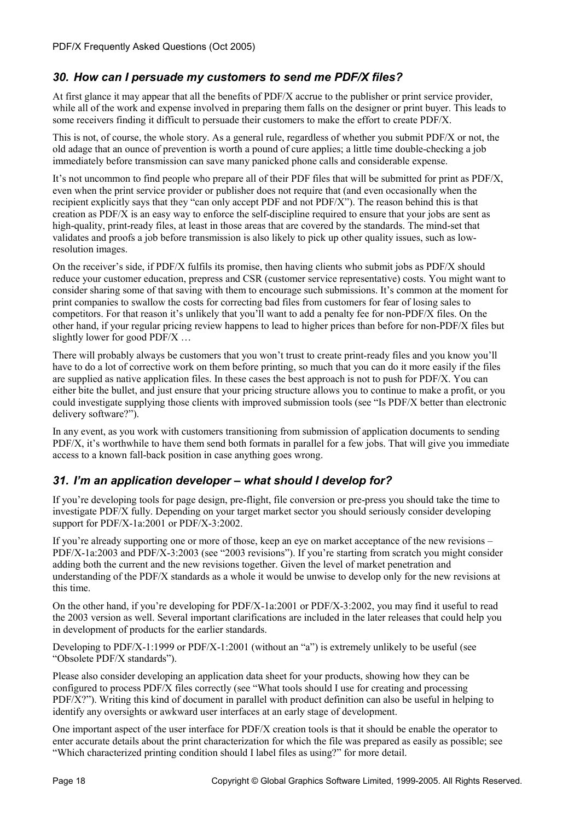# *30. How can I persuade my customers to send me PDF/X files?*

At first glance it may appear that all the benefits of PDF/X accrue to the publisher or print service provider, while all of the work and expense involved in preparing them falls on the designer or print buyer. This leads to some receivers finding it difficult to persuade their customers to make the effort to create PDF/X.

This is not, of course, the whole story. As a general rule, regardless of whether you submit PDF/X or not, the old adage that an ounce of prevention is worth a pound of cure applies; a little time double-checking a job immediately before transmission can save many panicked phone calls and considerable expense.

It's not uncommon to find people who prepare all of their PDF files that will be submitted for print as PDF/X, even when the print service provider or publisher does not require that (and even occasionally when the recipient explicitly says that they "can only accept PDF and not PDF/X"). The reason behind this is that creation as PDF/X is an easy way to enforce the self-discipline required to ensure that your jobs are sent as high-quality, print-ready files, at least in those areas that are covered by the standards. The mind-set that validates and proofs a job before transmission is also likely to pick up other quality issues, such as lowresolution images.

On the receiver's side, if PDF/X fulfils its promise, then having clients who submit jobs as PDF/X should reduce your customer education, prepress and CSR (customer service representative) costs. You might want to consider sharing some of that saving with them to encourage such submissions. It's common at the moment for print companies to swallow the costs for correcting bad files from customers for fear of losing sales to competitors. For that reason it's unlikely that you'll want to add a penalty fee for non-PDF/X files. On the other hand, if your regular pricing review happens to lead to higher prices than before for non-PDF/X files but slightly lower for good PDF/X ...

There will probably always be customers that you won't trust to create print-ready files and you know you'll have to do a lot of corrective work on them before printing, so much that you can do it more easily if the files are supplied as native application files. In these cases the best approach is not to push for PDF/X. You can either bite the bullet, and just ensure that your pricing structure allows you to continue to make a profit, or you could investigate supplying those clients with improved submission tools (see "Is PDF/X better than electronic delivery software?").

In any event, as you work with customers transitioning from submission of application documents to sending PDF/X, it's worthwhile to have them send both formats in parallel for a few jobs. That will give you immediate access to a known fall-back position in case anything goes wrong.

# *31. I'm an application developer – what should I develop for?*

If you're developing tools for page design, pre-flight, file conversion or pre-press you should take the time to investigate PDF/X fully. Depending on your target market sector you should seriously consider developing support for PDF/X-1a:2001 or PDF/X-3:2002.

If you're already supporting one or more of those, keep an eye on market acceptance of the new revisions – PDF/X-1a:2003 and PDF/X-3:2003 (see "2003 revisions"). If you're starting from scratch you might consider adding both the current and the new revisions together. Given the level of market penetration and understanding of the PDF/X standards as a whole it would be unwise to develop only for the new revisions at this time.

On the other hand, if you're developing for PDF/X-1a:2001 or PDF/X-3:2002, you may find it useful to read the 2003 version as well. Several important clarifications are included in the later releases that could help you in development of products for the earlier standards.

Developing to  $PDF/X-1:1999$  or  $PDF/X-1:2001$  (without an "a") is extremely unlikely to be useful (see "Obsolete PDF/X standards").

Please also consider developing an application data sheet for your products, showing how they can be configured to process PDF/X files correctly (see "What tools should I use for creating and processing PDF/X?"). Writing this kind of document in parallel with product definition can also be useful in helping to identify any oversights or awkward user interfaces at an early stage of development.

One important aspect of the user interface for PDF/X creation tools is that it should be enable the operator to enter accurate details about the print characterization for which the file was prepared as easily as possible; see "Which characterized printing condition should I label files as using?" for more detail.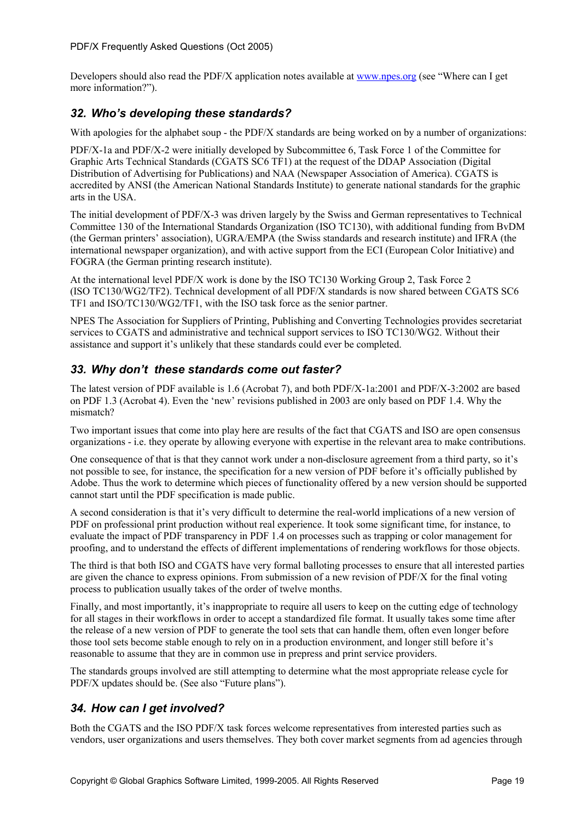Developers should also read the PDF/X application notes available at www.npes.org (see "Where can I get more information?").

### *32. Who's developing these standards?*

With apologies for the alphabet soup - the PDF/X standards are being worked on by a number of organizations:

PDF/X-1a and PDF/X-2 were initially developed by Subcommittee 6, Task Force 1 of the Committee for Graphic Arts Technical Standards (CGATS SC6 TF1) at the request of the DDAP Association (Digital Distribution of Advertising for Publications) and NAA (Newspaper Association of America). CGATS is accredited by ANSI (the American National Standards Institute) to generate national standards for the graphic arts in the USA.

The initial development of PDF/X-3 was driven largely by the Swiss and German representatives to Technical Committee 130 of the International Standards Organization (ISO TC130), with additional funding from BvDM (the German printers' association), UGRA/EMPA (the Swiss standards and research institute) and IFRA (the international newspaper organization), and with active support from the ECI (European Color Initiative) and FOGRA (the German printing research institute).

At the international level PDF/X work is done by the ISO TC130 Working Group 2, Task Force 2 (ISO TC130/WG2/TF2). Technical development of all PDF/X standards is now shared between CGATS SC6 TF1 and ISO/TC130/WG2/TF1, with the ISO task force as the senior partner.

NPES The Association for Suppliers of Printing, Publishing and Converting Technologies provides secretariat services to CGATS and administrative and technical support services to ISO TC130/WG2. Without their assistance and support it's unlikely that these standards could ever be completed.

## *33. Why don't these standards come out faster?*

The latest version of PDF available is 1.6 (Acrobat 7), and both PDF/X-1a:2001 and PDF/X-3:2002 are based on PDF 1.3 (Acrobat 4). Even the 'new' revisions published in 2003 are only based on PDF 1.4. Why the mismatch?

Two important issues that come into play here are results of the fact that CGATS and ISO are open consensus organizations - i.e. they operate by allowing everyone with expertise in the relevant area to make contributions.

One consequence of that is that they cannot work under a non-disclosure agreement from a third party, so it's not possible to see, for instance, the specification for a new version of PDF before it's officially published by Adobe. Thus the work to determine which pieces of functionality offered by a new version should be supported cannot start until the PDF specification is made public.

A second consideration is that it's very difficult to determine the real-world implications of a new version of PDF on professional print production without real experience. It took some significant time, for instance, to evaluate the impact of PDF transparency in PDF 1.4 on processes such as trapping or color management for proofing, and to understand the effects of different implementations of rendering workflows for those objects.

The third is that both ISO and CGATS have very formal balloting processes to ensure that all interested parties are given the chance to express opinions. From submission of a new revision of PDF/X for the final voting process to publication usually takes of the order of twelve months.

Finally, and most importantly, it's inappropriate to require all users to keep on the cutting edge of technology for all stages in their workflows in order to accept a standardized file format. It usually takes some time after the release of a new version of PDF to generate the tool sets that can handle them, often even longer before those tool sets become stable enough to rely on in a production environment, and longer still before it's reasonable to assume that they are in common use in prepress and print service providers.

The standards groups involved are still attempting to determine what the most appropriate release cycle for PDF/X updates should be. (See also "Future plans").

# *34. How can I get involved?*

Both the CGATS and the ISO PDF/X task forces welcome representatives from interested parties such as vendors, user organizations and users themselves. They both cover market segments from ad agencies through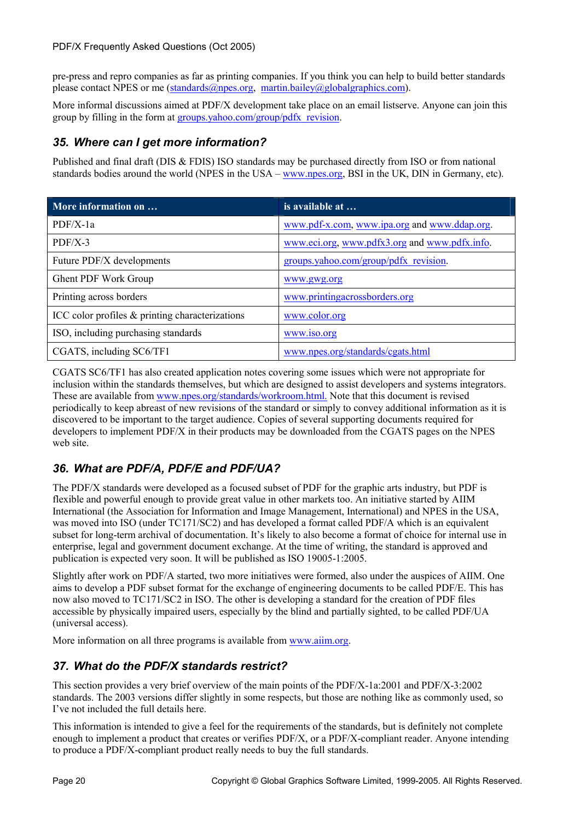pre-press and repro companies as far as printing companies. If you think you can help to build better standards please contact NPES or me (standards@npes.org, martin.bailey@globalgraphics.com).

More informal discussions aimed at PDF/X development take place on an email listserve. Anyone can join this group by filling in the form at groups.yahoo.com/group/pdfx\_revision.

## *35. Where can I get more information?*

Published and final draft (DIS & FDIS) ISO standards may be purchased directly from ISO or from national standards bodies around the world (NPES in the USA – www.npes.org, BSI in the UK, DIN in Germany, etc).

| More information on                             | is available at                               |
|-------------------------------------------------|-----------------------------------------------|
| $PDF/X-1a$                                      | www.pdf-x.com, www.ipa.org and www.ddap.org.  |
| $PDF/X-3$                                       | www.eci.org, www.pdfx3.org and www.pdfx.info. |
| Future PDF/X developments                       | groups.yahoo.com/group/pdfx revision.         |
| Ghent PDF Work Group                            | www.gwg.org                                   |
| Printing across borders                         | www.printingacrossborders.org                 |
| ICC color profiles & printing characterizations | www.color.org                                 |
| ISO, including purchasing standards             | www.iso.org                                   |
| CGATS, including SC6/TF1                        | www.npes.org/standards/cgats.html             |

CGATS SC6/TF1 has also created application notes covering some issues which were not appropriate for inclusion within the standards themselves, but which are designed to assist developers and systems integrators. These are available from www.npes.org/standards/workroom.html. Note that this document is revised periodically to keep abreast of new revisions of the standard or simply to convey additional information as it is discovered to be important to the target audience. Copies of several supporting documents required for developers to implement PDF/X in their products may be downloaded from the CGATS pages on the NPES web site.

# *36. What are PDF/A, PDF/E and PDF/UA?*

The PDF/X standards were developed as a focused subset of PDF for the graphic arts industry, but PDF is flexible and powerful enough to provide great value in other markets too. An initiative started by AIIM International (the Association for Information and Image Management, International) and NPES in the USA, was moved into ISO (under TC171/SC2) and has developed a format called PDF/A which is an equivalent subset for long-term archival of documentation. It's likely to also become a format of choice for internal use in enterprise, legal and government document exchange. At the time of writing, the standard is approved and publication is expected very soon. It will be published as ISO 19005-1:2005.

Slightly after work on PDF/A started, two more initiatives were formed, also under the auspices of AIIM. One aims to develop a PDF subset format for the exchange of engineering documents to be called PDF/E. This has now also moved to TC171/SC2 in ISO. The other is developing a standard for the creation of PDF files accessible by physically impaired users, especially by the blind and partially sighted, to be called PDF/UA (universal access).

More information on all three programs is available from www.aiim.org.

### *37. What do the PDF/X standards restrict?*

This section provides a very brief overview of the main points of the PDF/X-1a:2001 and PDF/X-3:2002 standards. The 2003 versions differ slightly in some respects, but those are nothing like as commonly used, so I've not included the full details here.

This information is intended to give a feel for the requirements of the standards, but is definitely not complete enough to implement a product that creates or verifies PDF/X, or a PDF/X-compliant reader. Anyone intending to produce a PDF/X-compliant product really needs to buy the full standards.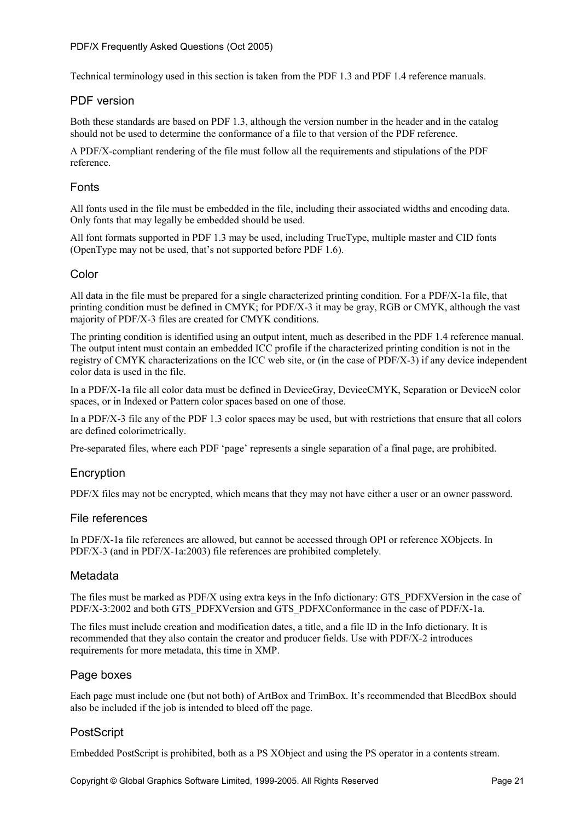Technical terminology used in this section is taken from the PDF 1.3 and PDF 1.4 reference manuals.

#### PDF version

Both these standards are based on PDF 1.3, although the version number in the header and in the catalog should not be used to determine the conformance of a file to that version of the PDF reference.

A PDF/X-compliant rendering of the file must follow all the requirements and stipulations of the PDF reference.

#### Fonts

All fonts used in the file must be embedded in the file, including their associated widths and encoding data. Only fonts that may legally be embedded should be used.

All font formats supported in PDF 1.3 may be used, including TrueType, multiple master and CID fonts (OpenType may not be used, that's not supported before PDF 1.6).

#### Color

All data in the file must be prepared for a single characterized printing condition. For a PDF/X-1a file, that printing condition must be defined in CMYK; for PDF/X-3 it may be gray, RGB or CMYK, although the vast majority of PDF/X-3 files are created for CMYK conditions.

The printing condition is identified using an output intent, much as described in the PDF 1.4 reference manual. The output intent must contain an embedded ICC profile if the characterized printing condition is not in the registry of CMYK characterizations on the ICC web site, or (in the case of PDF/X-3) if any device independent color data is used in the file.

In a PDF/X-1a file all color data must be defined in DeviceGray, DeviceCMYK, Separation or DeviceN color spaces, or in Indexed or Pattern color spaces based on one of those.

In a PDF/X-3 file any of the PDF 1.3 color spaces may be used, but with restrictions that ensure that all colors are defined colorimetrically.

Pre-separated files, where each PDF 'page' represents a single separation of a final page, are prohibited.

#### **Encryption**

PDF/X files may not be encrypted, which means that they may not have either a user or an owner password.

#### File references

In PDF/X-1a file references are allowed, but cannot be accessed through OPI or reference XObjects. In PDF/X-3 (and in PDF/X-1a:2003) file references are prohibited completely.

#### Metadata

The files must be marked as PDF/X using extra keys in the Info dictionary: GTS\_PDFXVersion in the case of PDF/X-3:2002 and both GTS\_PDFXVersion and GTS\_PDFXConformance in the case of PDF/X-1a.

The files must include creation and modification dates, a title, and a file ID in the Info dictionary. It is recommended that they also contain the creator and producer fields. Use with PDF/X-2 introduces requirements for more metadata, this time in XMP.

#### Page boxes

Each page must include one (but not both) of ArtBox and TrimBox. It's recommended that BleedBox should also be included if the job is intended to bleed off the page.

#### **PostScript**

Embedded PostScript is prohibited, both as a PS XObject and using the PS operator in a contents stream.